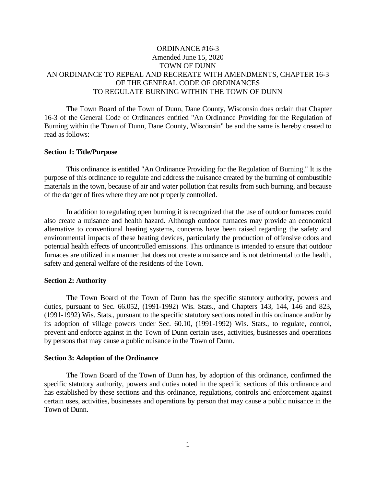# ORDINANCE #16-3 Amended June 15, 2020 TOWN OF DUNN AN ORDINANCE TO REPEAL AND RECREATE WITH AMENDMENTS, CHAPTER 16-3 OF THE GENERAL CODE OF ORDINANCES TO REGULATE BURNING WITHIN THE TOWN OF DUNN

The Town Board of the Town of Dunn, Dane County, Wisconsin does ordain that Chapter 16-3 of the General Code of Ordinances entitled "An Ordinance Providing for the Regulation of Burning within the Town of Dunn, Dane County, Wisconsin" be and the same is hereby created to read as follows:

### **Section 1: Title/Purpose**

This ordinance is entitled "An Ordinance Providing for the Regulation of Burning." It is the purpose of this ordinance to regulate and address the nuisance created by the burning of combustible materials in the town, because of air and water pollution that results from such burning, and because of the danger of fires where they are not properly controlled.

In addition to regulating open burning it is recognized that the use of outdoor furnaces could also create a nuisance and health hazard. Although outdoor furnaces may provide an economical alternative to conventional heating systems, concerns have been raised regarding the safety and environmental impacts of these heating devices, particularly the production of offensive odors and potential health effects of uncontrolled emissions. This ordinance is intended to ensure that outdoor furnaces are utilized in a manner that does not create a nuisance and is not detrimental to the health, safety and general welfare of the residents of the Town.

### **Section 2: Authority**

The Town Board of the Town of Dunn has the specific statutory authority, powers and duties, pursuant to Sec. 66.052, (1991-1992) Wis. Stats., and Chapters 143, 144, 146 and 823, (1991-1992) Wis. Stats., pursuant to the specific statutory sections noted in this ordinance and/or by its adoption of village powers under Sec. 60.10, (1991-1992) Wis. Stats., to regulate, control, prevent and enforce against in the Town of Dunn certain uses, activities, businesses and operations by persons that may cause a public nuisance in the Town of Dunn.

### **Section 3: Adoption of the Ordinance**

The Town Board of the Town of Dunn has, by adoption of this ordinance, confirmed the specific statutory authority, powers and duties noted in the specific sections of this ordinance and has established by these sections and this ordinance, regulations, controls and enforcement against certain uses, activities, businesses and operations by person that may cause a public nuisance in the Town of Dunn.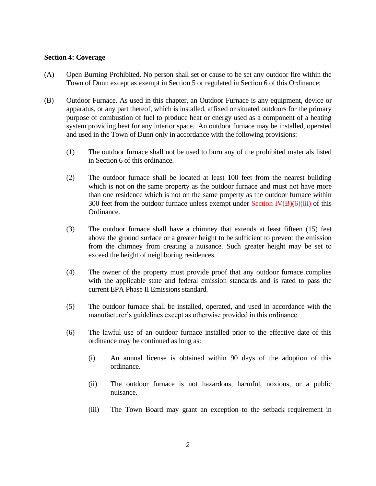### **Section 4: Coverage**

- (A) Open Burning Prohibited. No person shall set or cause to be set any outdoor fire within the Town of Dunn except as exempt in Section 5 or regulated in Section 6 of this Ordinance;
- (B) Outdoor Furnace. As used in this chapter, an Outdoor Furnace is any equipment, device or apparatus, or any part thereof, which is installed, affixed or situated outdoors for the primary purpose of combustion of fuel to produce heat or energy used as a component of a heating system providing heat for any interior space. An outdoor furnace may be installed, operated and used in the Town of Dunn only in accordance with the following provisions:
	- (1) The outdoor furnace shall not be used to burn any of the prohibited materials listed in Section 6 of this ordinance.
	- (2) The outdoor furnace shall be located at least 100 feet from the nearest building which is not on the same property as the outdoor furnace and must not have more than one residence which is not on the same property as the outdoor furnace within 300 feet from the outdoor furnace unless exempt under Section  $\Gamma\left(\frac{B}{6}\right)$  (6)(iii) of this Ordinance.
	- (3) The outdoor furnace shall have a chimney that extends at least fifteen (15) feet above the ground surface or a greater height to be sufficient to prevent the emission from the chimney from creating a nuisance. Such greater height may be set to exceed the height of neighboring residences.
	- (4) The owner of the property must provide proof that any outdoor furnace complies with the applicable state and federal emission standards and is rated to pass the current EPA Phase II Emissions standard.
	- (5) The outdoor furnace shall be installed, operated, and used in accordance with the manufacturer's guidelines except as otherwise provided in this ordinance.
	- (6) The lawful use of an outdoor furnace installed prior to the effective date of this ordinance may be continued as long as:
		- (i) An annual license is obtained within 90 days of the adoption of this ordinance.
		- (ii) The outdoor furnace is not hazardous, harmful, noxious, or a public nuisance.
		- (iii) The Town Board may grant an exception to the setback requirement in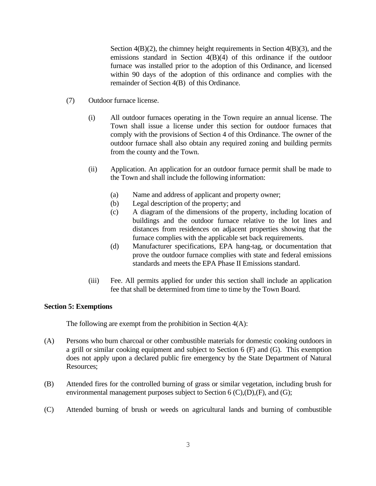Section  $4(B)(2)$ , the chimney height requirements in Section  $4(B)(3)$ , and the emissions standard in Section 4(B)(4) of this ordinance if the outdoor furnace was installed prior to the adoption of this Ordinance, and licensed within 90 days of the adoption of this ordinance and complies with the remainder of Section 4(B) of this Ordinance.

- (7) Outdoor furnace license.
	- (i) All outdoor furnaces operating in the Town require an annual license. The Town shall issue a license under this section for outdoor furnaces that comply with the provisions of Section 4 of this Ordinance. The owner of the outdoor furnace shall also obtain any required zoning and building permits from the county and the Town.
	- (ii) Application. An application for an outdoor furnace permit shall be made to the Town and shall include the following information:
		- (a) Name and address of applicant and property owner;
		- (b) Legal description of the property; and
		- (c) A diagram of the dimensions of the property, including location of buildings and the outdoor furnace relative to the lot lines and distances from residences on adjacent properties showing that the furnace complies with the applicable set back requirements.
		- (d) Manufacturer specifications, EPA hang-tag, or documentation that prove the outdoor furnace complies with state and federal emissions standards and meets the EPA Phase II Emissions standard.
	- (iii) Fee. All permits applied for under this section shall include an application fee that shall be determined from time to time by the Town Board.

## **Section 5: Exemptions**

The following are exempt from the prohibition in Section  $4(A)$ :

- (A) Persons who burn charcoal or other combustible materials for domestic cooking outdoors in a grill or similar cooking equipment and subject to Section 6 (F) and (G). This exemption does not apply upon a declared public fire emergency by the State Department of Natural Resources;
- (B) Attended fires for the controlled burning of grass or similar vegetation, including brush for environmental management purposes subject to Section  $6$  (C), (D), (F), and (G);
- (C) Attended burning of brush or weeds on agricultural lands and burning of combustible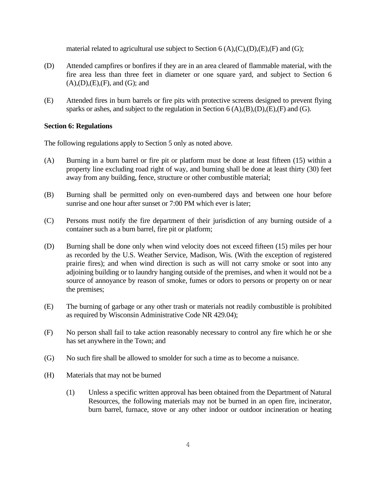material related to agricultural use subject to Section 6 (A),(C),(D),(E),(F) and (G);

- (D) Attended campfires or bonfires if they are in an area cleared of flammable material, with the fire area less than three feet in diameter or one square yard, and subject to Section 6  $(A),(D),(E),(F)$ , and  $(G)$ ; and
- (E) Attended fires in burn barrels or fire pits with protective screens designed to prevent flying sparks or ashes, and subject to the regulation in Section  $6(A),(B),(D),(E),(F)$  and  $(G)$ .

## **Section 6: Regulations**

The following regulations apply to Section 5 only as noted above.

- (A) Burning in a burn barrel or fire pit or platform must be done at least fifteen (15) within a property line excluding road right of way, and burning shall be done at least thirty (30) feet away from any building, fence, structure or other combustible material;
- (B) Burning shall be permitted only on even-numbered days and between one hour before sunrise and one hour after sunset or 7:00 PM which ever is later;
- (C) Persons must notify the fire department of their jurisdiction of any burning outside of a container such as a burn barrel, fire pit or platform;
- (D) Burning shall be done only when wind velocity does not exceed fifteen (15) miles per hour as recorded by the U.S. Weather Service, Madison, Wis. (With the exception of registered prairie fires); and when wind direction is such as will not carry smoke or soot into any adjoining building or to laundry hanging outside of the premises, and when it would not be a source of annoyance by reason of smoke, fumes or odors to persons or property on or near the premises;
- (E) The burning of garbage or any other trash or materials not readily combustible is prohibited as required by Wisconsin Administrative Code NR 429.04);
- (F) No person shall fail to take action reasonably necessary to control any fire which he or she has set anywhere in the Town; and
- (G) No such fire shall be allowed to smolder for such a time as to become a nuisance.
- (H) Materials that may not be burned
	- (1) Unless a specific written approval has been obtained from the Department of Natural Resources, the following materials may not be burned in an open fire, incinerator, burn barrel, furnace, stove or any other indoor or outdoor incineration or heating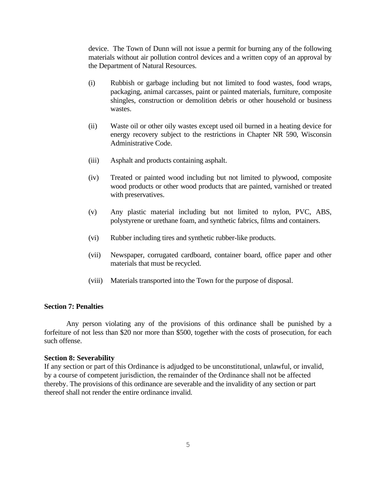device. The Town of Dunn will not issue a permit for burning any of the following materials without air pollution control devices and a written copy of an approval by the Department of Natural Resources.

- (i) Rubbish or garbage including but not limited to food wastes, food wraps, packaging, animal carcasses, paint or painted materials, furniture, composite shingles, construction or demolition debris or other household or business wastes.
- (ii) Waste oil or other oily wastes except used oil burned in a heating device for energy recovery subject to the restrictions in Chapter NR 590, Wisconsin Administrative Code.
- (iii) Asphalt and products containing asphalt.
- (iv) Treated or painted wood including but not limited to plywood, composite wood products or other wood products that are painted, varnished or treated with preservatives.
- (v) Any plastic material including but not limited to nylon, PVC, ABS, polystyrene or urethane foam, and synthetic fabrics, films and containers.
- (vi) Rubber including tires and synthetic rubber-like products.
- (vii) Newspaper, corrugated cardboard, container board, office paper and other materials that must be recycled.
- (viii) Materials transported into the Town for the purpose of disposal.

### **Section 7: Penalties**

Any person violating any of the provisions of this ordinance shall be punished by a forfeiture of not less than \$20 nor more than \$500, together with the costs of prosecution, for each such offense.

### **Section 8: Severability**

If any section or part of this Ordinance is adjudged to be unconstitutional, unlawful, or invalid, by a course of competent jurisdiction, the remainder of the Ordinance shall not be affected thereby. The provisions of this ordinance are severable and the invalidity of any section or part thereof shall not render the entire ordinance invalid.